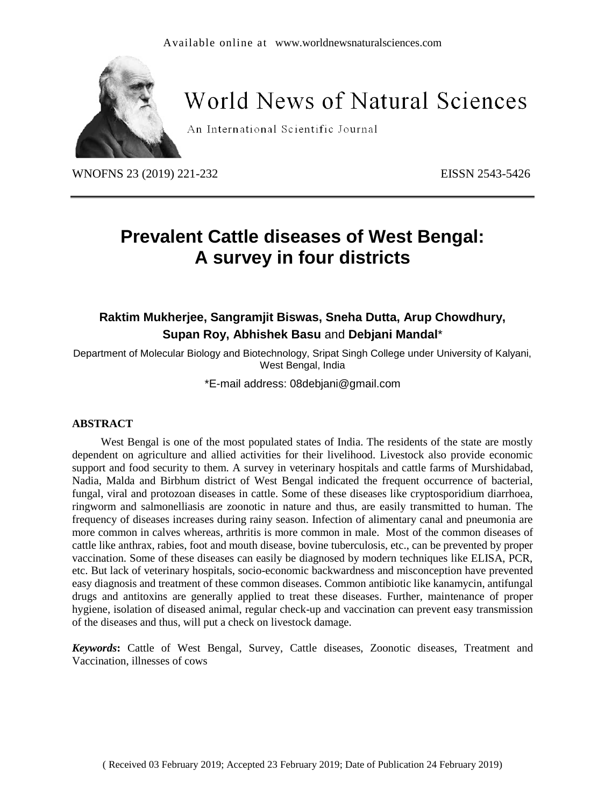

# **World News of Natural Sciences**

An International Scientific Journal

WNOFNS 23 (2019) 221-232 EISSN 2543-5426

# **Prevalent Cattle diseases of West Bengal: A survey in four districts**

## **Raktim Mukherjee, Sangramjit Biswas, Sneha Dutta, Arup Chowdhury, Supan Roy, Abhishek Basu** and **Debjani Mandal**\*

Department of Molecular Biology and Biotechnology, Sripat Singh College under University of Kalyani, West Bengal, India

\*E-mail address: 08debjani@gmail.com

#### **ABSTRACT**

West Bengal is one of the most populated states of India. The residents of the state are mostly dependent on agriculture and allied activities for their livelihood. Livestock also provide economic support and food security to them. A survey in veterinary hospitals and cattle farms of Murshidabad, Nadia, Malda and Birbhum district of West Bengal indicated the frequent occurrence of bacterial, fungal, viral and protozoan diseases in cattle. Some of these diseases like cryptosporidium diarrhoea, ringworm and salmonelliasis are zoonotic in nature and thus, are easily transmitted to human. The frequency of diseases increases during rainy season. Infection of alimentary canal and pneumonia are more common in calves whereas, arthritis is more common in male. Most of the common diseases of cattle like anthrax, rabies, foot and mouth disease, bovine tuberculosis, etc., can be prevented by proper vaccination. Some of these diseases can easily be diagnosed by modern techniques like ELISA, PCR, etc. But lack of veterinary hospitals, socio-economic backwardness and misconception have prevented easy diagnosis and treatment of these common diseases. Common antibiotic like kanamycin, antifungal drugs and antitoxins are generally applied to treat these diseases. Further, maintenance of proper hygiene, isolation of diseased animal, regular check-up and vaccination can prevent easy transmission of the diseases and thus, will put a check on livestock damage.

*Keywords***:** Cattle of West Bengal, Survey, Cattle diseases, Zoonotic diseases, Treatment and Vaccination, illnesses of cows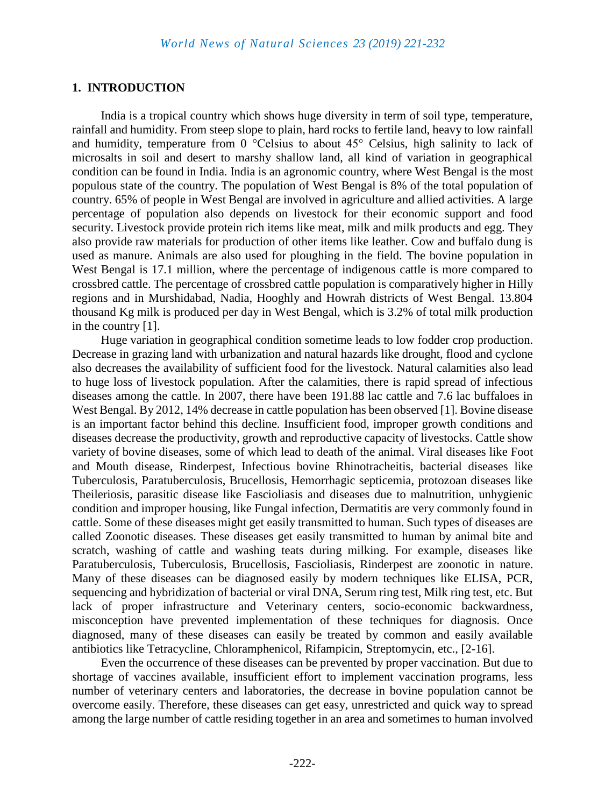#### **1. INTRODUCTION**

India is a tropical country which shows huge diversity in term of soil type, temperature, rainfall and humidity. From steep slope to plain, hard rocks to fertile land, heavy to low rainfall and humidity, temperature from 0 °Celsius to about 45° Celsius, high salinity to lack of microsalts in soil and desert to marshy shallow land, all kind of variation in geographical condition can be found in India. India is an agronomic country, where West Bengal is the most populous state of the country. The population of West Bengal is 8% of the total population of country. 65% of people in West Bengal are involved in agriculture and allied activities. A large percentage of population also depends on livestock for their economic support and food security. Livestock provide protein rich items like meat, milk and milk products and egg. They also provide raw materials for production of other items like leather. Cow and buffalo dung is used as manure. Animals are also used for ploughing in the field. The bovine population in West Bengal is 17.1 million, where the percentage of indigenous cattle is more compared to crossbred cattle. The percentage of crossbred cattle population is comparatively higher in Hilly regions and in Murshidabad, Nadia, Hooghly and Howrah districts of West Bengal. 13.804 thousand Kg milk is produced per day in West Bengal, which is 3.2% of total milk production in the country [1].

Huge variation in geographical condition sometime leads to low fodder crop production. Decrease in grazing land with urbanization and natural hazards like drought, flood and cyclone also decreases the availability of sufficient food for the livestock. Natural calamities also lead to huge loss of livestock population. After the calamities, there is rapid spread of infectious diseases among the cattle. In 2007, there have been 191.88 lac cattle and 7.6 lac buffaloes in West Bengal. By 2012, 14% decrease in cattle population has been observed [1]. Bovine disease is an important factor behind this decline. Insufficient food, improper growth conditions and diseases decrease the productivity, growth and reproductive capacity of livestocks. Cattle show variety of bovine diseases, some of which lead to death of the animal. Viral diseases like Foot and Mouth disease, Rinderpest, Infectious bovine Rhinotracheitis, bacterial diseases like Tuberculosis, Paratuberculosis, Brucellosis, Hemorrhagic septicemia, protozoan diseases like Theileriosis, parasitic disease like Fascioliasis and diseases due to malnutrition, unhygienic condition and improper housing, like Fungal infection, Dermatitis are very commonly found in cattle. Some of these diseases might get easily transmitted to human. Such types of diseases are called Zoonotic diseases. These diseases get easily transmitted to human by animal bite and scratch, washing of cattle and washing teats during milking. For example, diseases like Paratuberculosis, Tuberculosis, Brucellosis, Fascioliasis, Rinderpest are zoonotic in nature. Many of these diseases can be diagnosed easily by modern techniques like ELISA, PCR, sequencing and hybridization of bacterial or viral DNA, Serum ring test, Milk ring test, etc. But lack of proper infrastructure and Veterinary centers, socio-economic backwardness, misconception have prevented implementation of these techniques for diagnosis. Once diagnosed, many of these diseases can easily be treated by common and easily available antibiotics like Tetracycline, Chloramphenicol, Rifampicin, Streptomycin, etc., [2-16].

Even the occurrence of these diseases can be prevented by proper vaccination. But due to shortage of vaccines available, insufficient effort to implement vaccination programs, less number of veterinary centers and laboratories, the decrease in bovine population cannot be overcome easily. Therefore, these diseases can get easy, unrestricted and quick way to spread among the large number of cattle residing together in an area and sometimes to human involved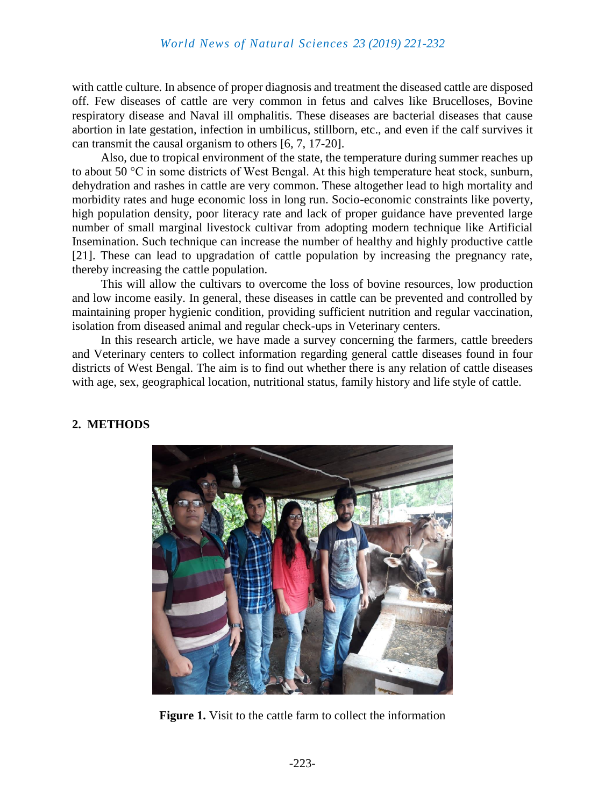with cattle culture. In absence of proper diagnosis and treatment the diseased cattle are disposed off. Few diseases of cattle are very common in fetus and calves like Brucelloses, Bovine respiratory disease and Naval ill omphalitis. These diseases are bacterial diseases that cause abortion in late gestation, infection in umbilicus, stillborn, etc., and even if the calf survives it can transmit the causal organism to others [6, 7, 17-20].

Also, due to tropical environment of the state, the temperature during summer reaches up to about 50 °C in some districts of West Bengal. At this high temperature heat stock, sunburn, dehydration and rashes in cattle are very common. These altogether lead to high mortality and morbidity rates and huge economic loss in long run. Socio-economic constraints like poverty, high population density, poor literacy rate and lack of proper guidance have prevented large number of small marginal livestock cultivar from adopting modern technique like Artificial Insemination. Such technique can increase the number of healthy and highly productive cattle [21]. These can lead to upgradation of cattle population by increasing the pregnancy rate, thereby increasing the cattle population.

This will allow the cultivars to overcome the loss of bovine resources, low production and low income easily. In general, these diseases in cattle can be prevented and controlled by maintaining proper hygienic condition, providing sufficient nutrition and regular vaccination, isolation from diseased animal and regular check-ups in Veterinary centers.

In this research article, we have made a survey concerning the farmers, cattle breeders and Veterinary centers to collect information regarding general cattle diseases found in four districts of West Bengal. The aim is to find out whether there is any relation of cattle diseases with age, sex, geographical location, nutritional status, family history and life style of cattle.

#### **2. METHODS**



**Figure 1.** Visit to the cattle farm to collect the information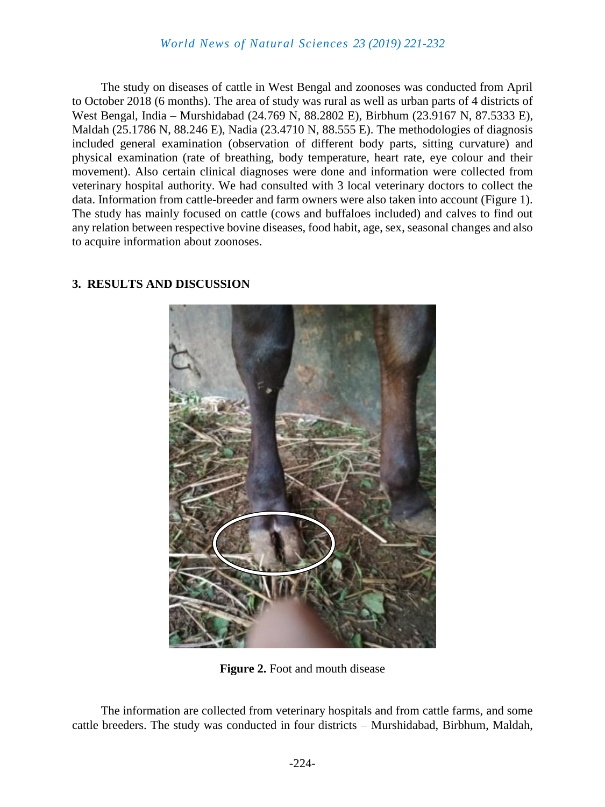### *World News of Natural Sciences 23 (2019) 221-232*

The study on diseases of cattle in West Bengal and zoonoses was conducted from April to October 2018 (6 months). The area of study was rural as well as urban parts of 4 districts of West Bengal, India – Murshidabad (24.769 N, 88.2802 E), Birbhum (23.9167 N, 87.5333 E), Maldah (25.1786 N, 88.246 E), Nadia (23.4710 N, 88.555 E). The methodologies of diagnosis included general examination (observation of different body parts, sitting curvature) and physical examination (rate of breathing, body temperature, heart rate, eye colour and their movement). Also certain clinical diagnoses were done and information were collected from veterinary hospital authority. We had consulted with 3 local veterinary doctors to collect the data. Information from cattle-breeder and farm owners were also taken into account (Figure 1). The study has mainly focused on cattle (cows and buffaloes included) and calves to find out any relation between respective bovine diseases, food habit, age, sex, seasonal changes and also to acquire information about zoonoses.



#### **3. RESULTS AND DISCUSSION**

**Figure 2.** Foot and mouth disease

The information are collected from veterinary hospitals and from cattle farms, and some cattle breeders. The study was conducted in four districts – Murshidabad, Birbhum, Maldah,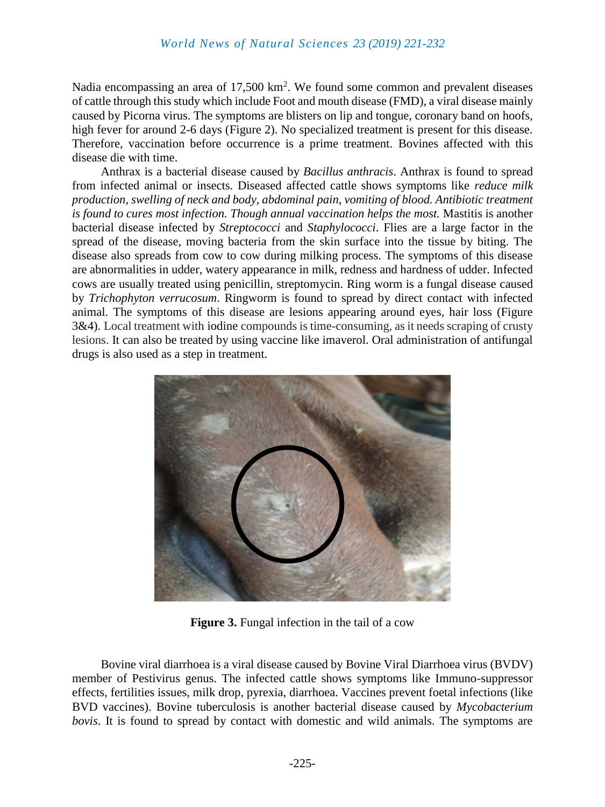Nadia encompassing an area of  $17,500 \text{ km}^2$ . We found some common and prevalent diseases of cattle through this study which include Foot and mouth disease (FMD), a viral disease mainly caused by Picorna virus. The symptoms are blisters on lip and tongue, coronary band on hoofs, high fever for around 2-6 days (Figure 2). No specialized treatment is present for this disease. Therefore, vaccination before occurrence is a prime treatment. Bovines affected with this disease die with time.

Anthrax is a bacterial disease caused by *Bacillus anthracis*. Anthrax is found to spread from infected animal or insects. Diseased affected cattle shows symptoms like *reduce milk production, swelling of neck and body, abdominal pain, vomiting of blood. Antibiotic treatment is found to cures most infection. Though annual vaccination helps the most.* Mastitis is another bacterial disease infected by *Streptococci* and *Staphylococci*. Flies are a large factor in the spread of the disease, moving bacteria from the skin surface into the tissue by biting. The disease also spreads from cow to cow during milking process. The symptoms of this disease are abnormalities in udder, watery appearance in milk, redness and hardness of udder. Infected cows are usually treated using penicillin, streptomycin. Ring worm is a fungal disease caused by *Trichophyton verrucosum*. Ringworm is found to spread by direct contact with infected animal. The symptoms of this disease are lesions appearing around eyes, hair loss (Figure 3&4). Local treatment with [iodine](https://en.wikipedia.org/wiki/Iodine) compounds is time-consuming, as it needs scraping of crusty lesions. It can also be treated by using vaccine like imaverol. Oral administration of antifungal drugs is also used as a step in treatment.



**Figure 3.** Fungal infection in the tail of a cow

Bovine viral diarrhoea is a viral disease caused by Bovine Viral Diarrhoea virus (BVDV) member of Pestivirus genus. The infected cattle shows symptoms like Immuno-suppressor effects, fertilities issues, milk drop, pyrexia, diarrhoea. Vaccines prevent foetal infections (like BVD vaccines). Bovine tuberculosis is another bacterial disease caused by *Mycobacterium bovis*. It is found to spread by contact with domestic and wild animals. The symptoms are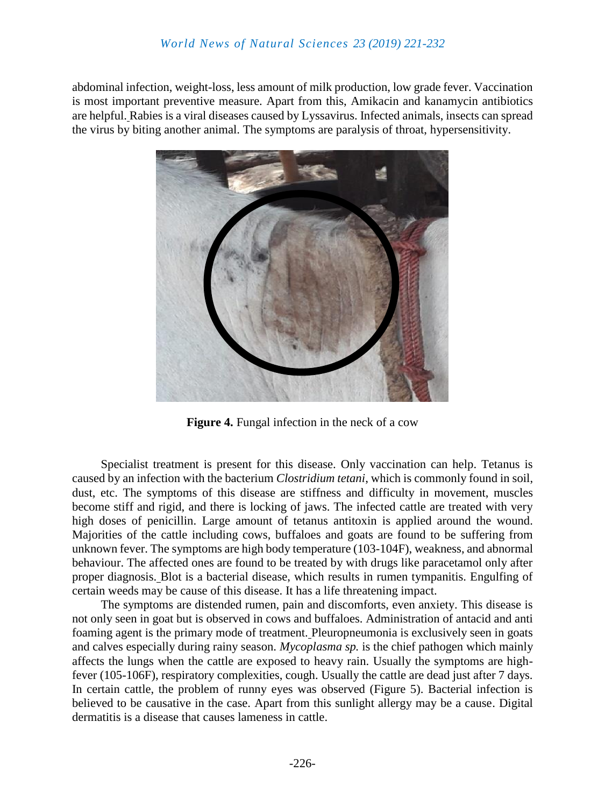abdominal infection, weight-loss, less amount of milk production, low grade fever. Vaccination is most important preventive measure. Apart from this, Amikacin and kanamycin antibiotics are helpful. Rabies is a viral diseases caused by Lyssavirus. Infected animals, insects can spread the virus by biting another animal. The symptoms are paralysis of throat, hypersensitivity.



**Figure 4.** Fungal infection in the neck of a cow

Specialist treatment is present for this disease. Only vaccination can help. Tetanus is caused by an infection with the bacterium *Clostridium tetani*, which is commonly found in soil, dust, etc. The symptoms of this disease are stiffness and difficulty in movement, muscles become stiff and rigid, and there is locking of jaws. The infected cattle are treated with very high doses of penicillin. Large amount of tetanus antitoxin is applied around the wound. Majorities of the cattle including cows, buffaloes and goats are found to be suffering from unknown fever. The symptoms are high body temperature (103-104F), weakness, and abnormal behaviour. The affected ones are found to be treated by with drugs like paracetamol only after proper diagnosis. Blot is a bacterial disease, which results in rumen tympanitis. Engulfing of certain weeds may be cause of this disease. It has a life threatening impact.

The symptoms are distended rumen, pain and discomforts, even anxiety. This disease is not only seen in goat but is observed in cows and buffaloes. Administration of antacid and anti foaming agent is the primary mode of treatment. Pleuropneumonia is exclusively seen in goats and calves especially during rainy season. *Mycoplasma sp.* is the chief pathogen which mainly affects the lungs when the cattle are exposed to heavy rain. Usually the symptoms are highfever (105-106F), respiratory complexities, cough. Usually the cattle are dead just after 7 days. In certain cattle, the problem of runny eyes was observed (Figure 5). Bacterial infection is believed to be causative in the case. Apart from this sunlight allergy may be a cause. Digital dermatitis is a disease that causes lameness in cattle.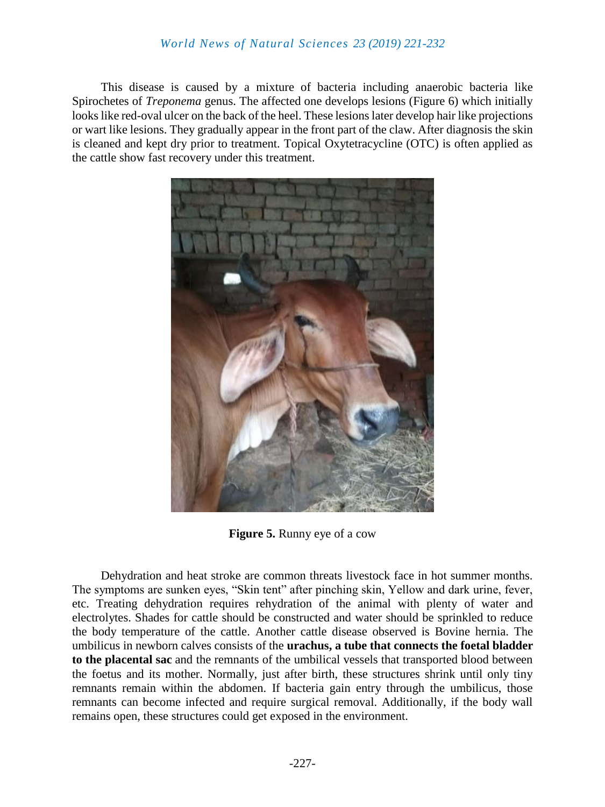### *World News of Natural Sciences 23 (2019) 221-232*

This disease is caused by a mixture of bacteria including anaerobic bacteria like Spirochetes of *Treponema* genus. The affected one develops lesions (Figure 6) which initially looks like red-oval ulcer on the back of the heel. These lesions later develop hair like projections or wart like lesions. They gradually appear in the front part of the claw. After diagnosis the skin is cleaned and kept dry prior to treatment. Topical Oxytetracycline (OTC) is often applied as the cattle show fast recovery under this treatment.



**Figure 5.** Runny eye of a cow

Dehydration and heat stroke are common threats livestock face in hot summer months. The symptoms are sunken eyes, "Skin tent" after pinching skin, Yellow and dark urine, fever, etc. Treating dehydration requires rehydration of the animal with plenty of water and electrolytes. Shades for cattle should be constructed and water should be sprinkled to reduce the body temperature of the cattle. Another cattle disease observed is Bovine hernia. The umbilicus in newborn calves consists of the **urachus, a tube that connects the foetal bladder to the placental sac** and the remnants of the umbilical vessels that transported blood between the foetus and its mother. Normally, just after birth, these structures shrink until only tiny remnants remain within the abdomen. If bacteria gain entry through the umbilicus, those remnants can become infected and require surgical removal. Additionally, if the body wall remains open, these structures could get exposed in the environment.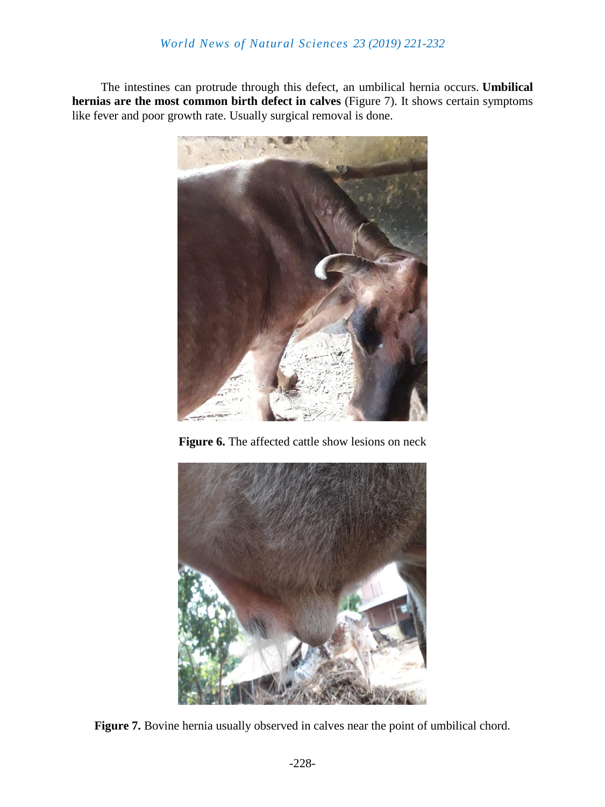The intestines can protrude through this defect, an umbilical hernia occurs. **Umbilical hernias are the most common birth defect in calves** (Figure 7). It shows certain symptoms like fever and poor growth rate. Usually surgical removal is done.



**Figure 6.** The affected cattle show lesions on neck



Figure 7. Bovine hernia usually observed in calves near the point of umbilical chord.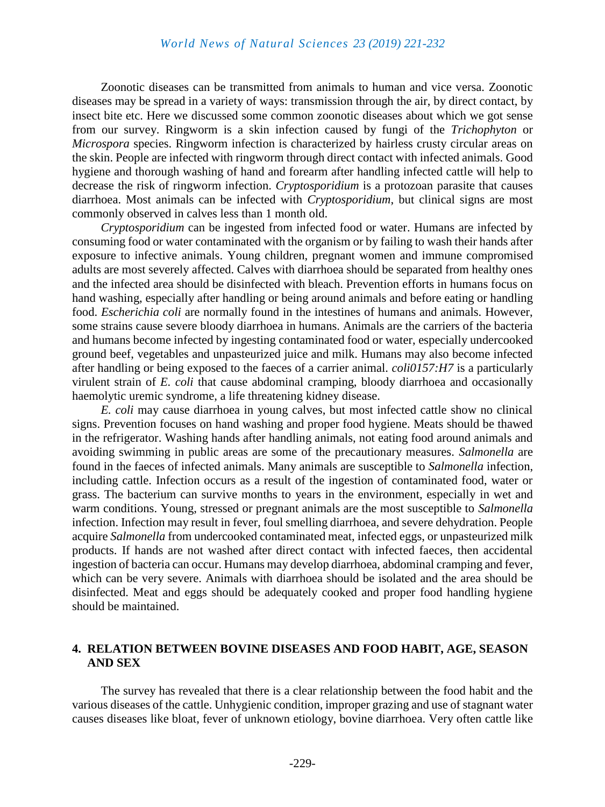Zoonotic diseases can be transmitted from animals to human and vice versa. Zoonotic diseases may be spread in a variety of ways: transmission through the air, by direct contact, by insect bite etc. Here we discussed some common zoonotic diseases about which we got sense from our survey. Ringworm is a skin infection caused by fungi of the *Trichophyton* or *Microspora* species. Ringworm infection is characterized by hairless crusty circular areas on the skin. People are infected with ringworm through direct contact with infected animals. Good hygiene and thorough washing of hand and forearm after handling infected cattle will help to decrease the risk of ringworm infection. *Cryptosporidium* is a protozoan parasite that causes diarrhoea. Most animals can be infected with *Cryptosporidium*, but clinical signs are most commonly observed in calves less than 1 month old.

*Cryptosporidium* can be ingested from infected food or water. Humans are infected by consuming food or water contaminated with the organism or by failing to wash their hands after exposure to infective animals. Young children, pregnant women and immune compromised adults are most severely affected. Calves with diarrhoea should be separated from healthy ones and the infected area should be disinfected with bleach. Prevention efforts in humans focus on hand washing, especially after handling or being around animals and before eating or handling food. *Escherichia coli* are normally found in the intestines of humans and animals. However, some strains cause severe bloody diarrhoea in humans. Animals are the carriers of the bacteria and humans become infected by ingesting contaminated food or water, especially undercooked ground beef, vegetables and unpasteurized juice and milk. Humans may also become infected after handling or being exposed to the faeces of a carrier animal. *coli0157:H7* is a particularly virulent strain of *E. coli* that cause abdominal cramping, bloody diarrhoea and occasionally haemolytic uremic syndrome, a life threatening kidney disease.

*E. coli* may cause diarrhoea in young calves, but most infected cattle show no clinical signs. Prevention focuses on hand washing and proper food hygiene. Meats should be thawed in the refrigerator. Washing hands after handling animals, not eating food around animals and avoiding swimming in public areas are some of the precautionary measures. *Salmonella* are found in the faeces of infected animals. Many animals are susceptible to *Salmonella* infection, including cattle. Infection occurs as a result of the ingestion of contaminated food, water or grass. The bacterium can survive months to years in the environment, especially in wet and warm conditions. Young, stressed or pregnant animals are the most susceptible to *Salmonella* infection. Infection may result in fever, foul smelling diarrhoea, and severe dehydration. People acquire *Salmonella* from undercooked contaminated meat, infected eggs, or unpasteurized milk products. If hands are not washed after direct contact with infected faeces, then accidental ingestion of bacteria can occur. Humans may develop diarrhoea, abdominal cramping and fever, which can be very severe. Animals with diarrhoea should be isolated and the area should be disinfected. Meat and eggs should be adequately cooked and proper food handling hygiene should be maintained.

#### **4. RELATION BETWEEN BOVINE DISEASES AND FOOD HABIT, AGE, SEASON AND SEX**

The survey has revealed that there is a clear relationship between the food habit and the various diseases of the cattle. Unhygienic condition, improper grazing and use of stagnant water causes diseases like bloat, fever of unknown etiology, bovine diarrhoea. Very often cattle like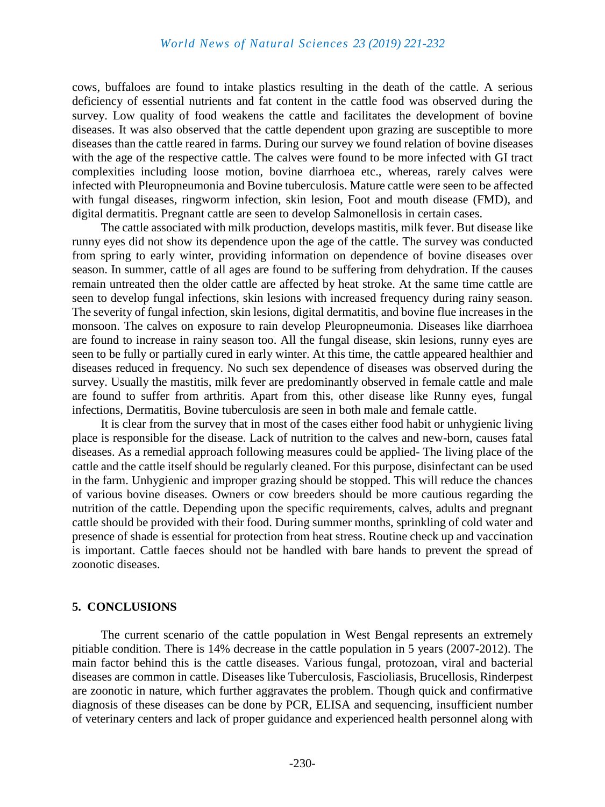cows, buffaloes are found to intake plastics resulting in the death of the cattle. A serious deficiency of essential nutrients and fat content in the cattle food was observed during the survey. Low quality of food weakens the cattle and facilitates the development of bovine diseases. It was also observed that the cattle dependent upon grazing are susceptible to more diseases than the cattle reared in farms. During our survey we found relation of bovine diseases with the age of the respective cattle. The calves were found to be more infected with GI tract complexities including loose motion, bovine diarrhoea etc., whereas, rarely calves were infected with Pleuropneumonia and Bovine tuberculosis. Mature cattle were seen to be affected with fungal diseases, ringworm infection, skin lesion, Foot and mouth disease (FMD), and digital dermatitis. Pregnant cattle are seen to develop Salmonellosis in certain cases.

The cattle associated with milk production, develops mastitis, milk fever. But disease like runny eyes did not show its dependence upon the age of the cattle. The survey was conducted from spring to early winter, providing information on dependence of bovine diseases over season. In summer, cattle of all ages are found to be suffering from dehydration. If the causes remain untreated then the older cattle are affected by heat stroke. At the same time cattle are seen to develop fungal infections, skin lesions with increased frequency during rainy season. The severity of fungal infection, skin lesions, digital dermatitis, and bovine flue increases in the monsoon. The calves on exposure to rain develop Pleuropneumonia. Diseases like diarrhoea are found to increase in rainy season too. All the fungal disease, skin lesions, runny eyes are seen to be fully or partially cured in early winter. At this time, the cattle appeared healthier and diseases reduced in frequency. No such sex dependence of diseases was observed during the survey. Usually the mastitis, milk fever are predominantly observed in female cattle and male are found to suffer from arthritis. Apart from this, other disease like Runny eyes, fungal infections, Dermatitis, Bovine tuberculosis are seen in both male and female cattle.

It is clear from the survey that in most of the cases either food habit or unhygienic living place is responsible for the disease. Lack of nutrition to the calves and new-born, causes fatal diseases. As a remedial approach following measures could be applied- The living place of the cattle and the cattle itself should be regularly cleaned. For this purpose, disinfectant can be used in the farm. Unhygienic and improper grazing should be stopped. This will reduce the chances of various bovine diseases. Owners or cow breeders should be more cautious regarding the nutrition of the cattle. Depending upon the specific requirements, calves, adults and pregnant cattle should be provided with their food. During summer months, sprinkling of cold water and presence of shade is essential for protection from heat stress. Routine check up and vaccination is important. Cattle faeces should not be handled with bare hands to prevent the spread of zoonotic diseases.

#### **5. CONCLUSIONS**

The current scenario of the cattle population in West Bengal represents an extremely pitiable condition. There is 14% decrease in the cattle population in 5 years (2007-2012). The main factor behind this is the cattle diseases. Various fungal, protozoan, viral and bacterial diseases are common in cattle. Diseases like Tuberculosis, Fascioliasis, Brucellosis, Rinderpest are zoonotic in nature, which further aggravates the problem. Though quick and confirmative diagnosis of these diseases can be done by PCR, ELISA and sequencing, insufficient number of veterinary centers and lack of proper guidance and experienced health personnel along with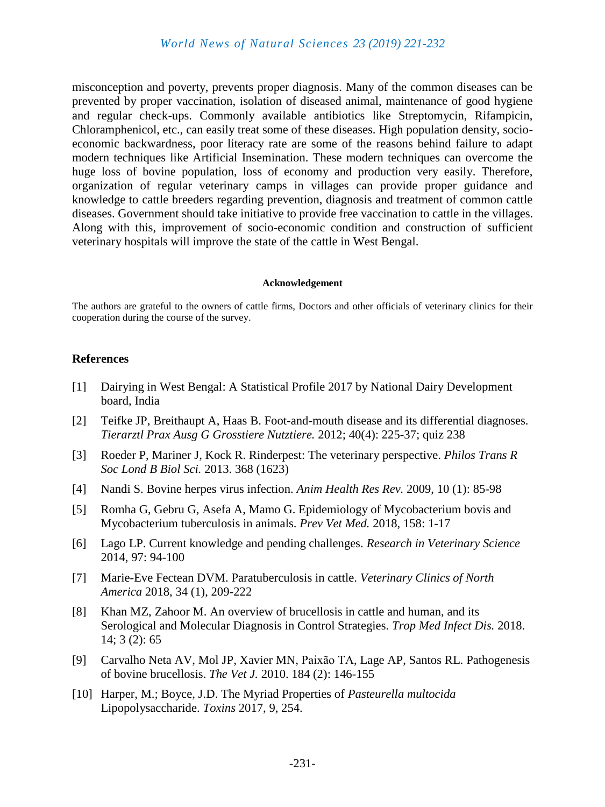misconception and poverty, prevents proper diagnosis. Many of the common diseases can be prevented by proper vaccination, isolation of diseased animal, maintenance of good hygiene and regular check-ups. Commonly available antibiotics like Streptomycin, Rifampicin, Chloramphenicol, etc., can easily treat some of these diseases. High population density, socioeconomic backwardness, poor literacy rate are some of the reasons behind failure to adapt modern techniques like Artificial Insemination. These modern techniques can overcome the huge loss of bovine population, loss of economy and production very easily. Therefore, organization of regular veterinary camps in villages can provide proper guidance and knowledge to cattle breeders regarding prevention, diagnosis and treatment of common cattle diseases. Government should take initiative to provide free vaccination to cattle in the villages. Along with this, improvement of socio-economic condition and construction of sufficient veterinary hospitals will improve the state of the cattle in West Bengal.

#### **Acknowledgement**

The authors are grateful to the owners of cattle firms, Doctors and other officials of veterinary clinics for their cooperation during the course of the survey.

#### **References**

- [1] Dairying in West Bengal: A Statistical Profile 2017 by National Dairy Development board, India
- [2] [Teifke JP,](https://www.ncbi.nlm.nih.gov/pubmed/?term=Teifke%20JP%5BAuthor%5D&cauthor=true&cauthor_uid=22911230) [Breithaupt A,](https://www.ncbi.nlm.nih.gov/pubmed/?term=Breithaupt%20A%5BAuthor%5D&cauthor=true&cauthor_uid=22911230) [Haas B.](https://www.ncbi.nlm.nih.gov/pubmed/?term=Haas%20B%5BAuthor%5D&cauthor=true&cauthor_uid=22911230) Foot-and-mouth disease and its differential diagnoses. *[Tierarztl Prax Ausg G Grosstiere Nutztiere.](https://www.ncbi.nlm.nih.gov/pubmed/22911230)* 2012; 40(4): 225-37; quiz 238
- [3] Roeder P, [Mariner J,](https://www.ncbi.nlm.nih.gov/pubmed/?term=Mariner%20J%5BAuthor%5D&cauthor=true&cauthor_uid=23798687) [Kock R.](https://www.ncbi.nlm.nih.gov/pubmed/?term=Kock%20R%5BAuthor%5D&cauthor=true&cauthor_uid=23798687) Rinderpest: The veterinary perspective. *Philos Trans R Soc Lond B Biol Sci.* 2013. 368 (1623)
- [4] Nandi S. Bovine herpes virus infection. *Anim Health Res Rev.* 2009, 10 (1): 85-98
- [5] Romha G, [Gebru G,](https://www.ncbi.nlm.nih.gov/pubmed/?term=Gebru%20G%5BAuthor%5D&cauthor=true&cauthor_uid=30220382) [Asefa A,](https://www.ncbi.nlm.nih.gov/pubmed/?term=Asefa%20A%5BAuthor%5D&cauthor=true&cauthor_uid=30220382) [Mamo G.](https://www.ncbi.nlm.nih.gov/pubmed/?term=Mamo%20G%5BAuthor%5D&cauthor=true&cauthor_uid=30220382) Epidemiology of Mycobacterium bovis and Mycobacterium tuberculosis in animals. *Prev Vet Med.* 2018, 158: 1-17
- [6] Lago LP. Current knowledge and pending challenges. *Research in Veterinary Science* 2014, 97: 94-100
- [7] Marie-Eve Fectean DVM. Paratuberculosis in cattle. *Veterinary Clinics of North America* 2018, 34 (1), 209-222
- [8] [Khan MZ,](https://www.ncbi.nlm.nih.gov/pubmed/?term=Khan%20MZ%5BAuthor%5D&cauthor=true&cauthor_uid=30274461) [Zahoor M.](https://www.ncbi.nlm.nih.gov/pubmed/?term=Zahoor%20M%5BAuthor%5D&cauthor=true&cauthor_uid=30274461) An overview of brucellosis in cattle and human, and its Serological and Molecular Diagnosis in Control Strategies. *Trop Med Infect Dis.* 2018. 14; 3 (2): 65
- [9] [Carvalho Neta AV,](https://www.ncbi.nlm.nih.gov/pubmed/?term=Carvalho%20Neta%20AV%5BAuthor%5D&cauthor=true&cauthor_uid=19733101) [Mol JP,](https://www.ncbi.nlm.nih.gov/pubmed/?term=Mol%20JP%5BAuthor%5D&cauthor=true&cauthor_uid=19733101) [Xavier MN,](https://www.ncbi.nlm.nih.gov/pubmed/?term=Xavier%20MN%5BAuthor%5D&cauthor=true&cauthor_uid=19733101) [Paixão TA,](https://www.ncbi.nlm.nih.gov/pubmed/?term=Paix%C3%A3o%20TA%5BAuthor%5D&cauthor=true&cauthor_uid=19733101) [Lage AP,](https://www.ncbi.nlm.nih.gov/pubmed/?term=Lage%20AP%5BAuthor%5D&cauthor=true&cauthor_uid=19733101) [Santos RL.](https://www.ncbi.nlm.nih.gov/pubmed/?term=Santos%20RL%5BAuthor%5D&cauthor=true&cauthor_uid=19733101) Pathogenesis of bovine brucellosis. *The Vet J.* 2010. 184 (2): 146-155
- [10] Harper, M.; Boyce, J.D. The Myriad Properties of *Pasteurella multocida* Lipopolysaccharide. *Toxins* 2017, 9, 254.